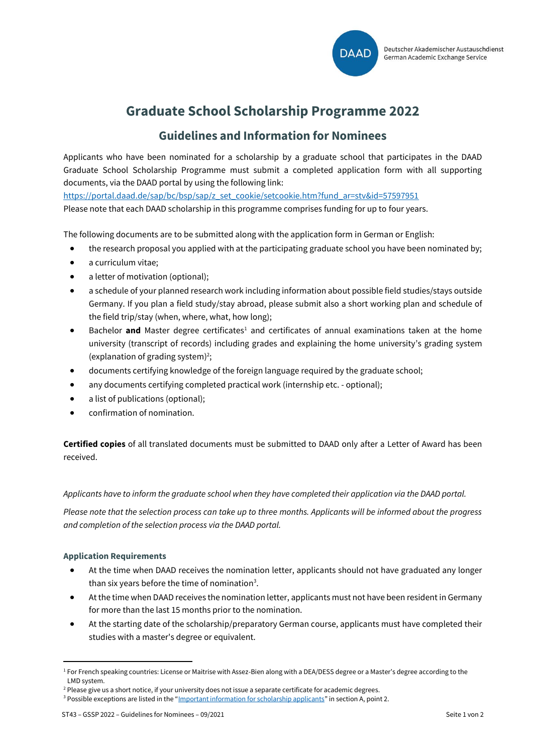

# **Graduate School Scholarship Programme 2022**

# **Guidelines and Information for Nominees**

Applicants who have been nominated for a scholarship by a graduate school that participates in the DAAD Graduate School Scholarship Programme must submit a completed application form with all supporting documents, via the DAAD portal by using the following link:

[https://portal.daad.de/sap/bc/bsp/sap/z\\_set\\_cookie/setcookie.htm?fund\\_ar=stv&id=57597951](https://portal.daad.de/sap/bc/bsp/sap/z_set_cookie/setcookie.htm?fund_ar=stv&id=57597951)

Please note that each DAAD scholarship in this programme comprises funding for up to four years.

The following documents are to be submitted along with the application form in German or English:

- the research proposal you applied with at the participating graduate school you have been nominated by;
- a curriculum vitae;
- a letter of motivation (optional);
- a schedule of your planned research work including information about possible field studies/stays outside Germany. If you plan a field study/stay abroad, please submit also a short working plan and schedule of the field trip/stay (when, where, what, how long);
- Bachelor **and** Master degree certificates<sup>1</sup> and certificates of annual examinations taken at the home university (transcript of records) including grades and explaining the home university's grading system (explanation of grading system) 2 ;
- documents certifying knowledge of the foreign language required by the graduate school;
- any documents certifying completed practical work (internship etc. optional);
- a list of publications (optional);
- confirmation of nomination.

**Certified copies** of all translated documents must be submitted to DAAD only after a Letter of Award has been received.

#### *Applicants have to inform the graduate school when they have completed their application via the DAAD portal.*

*Please note that the selection process can take up to three months. Applicants will be informed about the progress and completion of the selection process via the DAAD portal.*

#### **Application Requirements**

- At the time when DAAD receives the nomination letter, applicants should not have graduated any longer than six years before the time of nomination<sup>3</sup>.
- At the time when DAAD receives the nomination letter, applicants must not have been resident in Germany for more than the last 15 months prior to the nomination.
- At the starting date of the scholarship/preparatory German course, applicants must have completed their studies with a master's degree or equivalent.

<sup>&</sup>lt;sup>1</sup> For French speaking countries: License or Maitrise with Assez-Bien along with a DEA/DESS degree or a Master's degree according to the LMD system.

<sup>&</sup>lt;sup>2</sup> Please give us a short notice, if your university does not issue a separate certificate for academic degrees.

<sup>&</sup>lt;sup>3</sup> Possible exceptions are listed in the "[Important information for scholarship applicants](https://www.daad.de/en/study-and-research-in-germany/scholarships/important-information-for-scholarship-applicants/)" in section A, point 2.